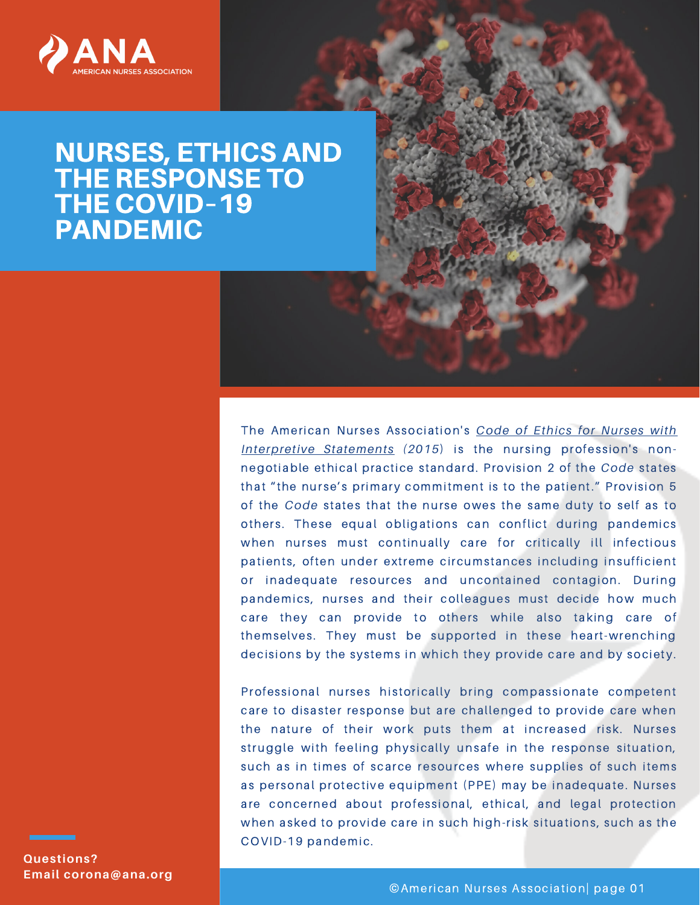

## NURSES, ETHICS AND THE RESPONSE TO THE COVID–19 **PANDEMIC**

The American Nurses [Association's](https://www.nursingworld.org/coe-view-only) *Code of Ethics for Nurses with Interpretive Statements (2015*) is the nursing profession's nonnegotiable ethical practice standard. Provision 2 of the *Code* states that "the nurse's primary commitment is to the patient." Provision 5 of the *Code* states that the nurse owes the same duty to self as to others. These equal obligations can conflict during pandemics when nurses must continually care for critically ill infectious patients, often under extreme circumstances including insufficient or inadequate resources and uncontained contagion. During pandemics, nurses and their colleagues must decide how much care they can provide to others while also taking care of themselves. They must be supported in these heart-wrenching decisions by the systems in which they provide care and by society.

Professional nurses historically bring compassionate competent care to disaster response but are challenged to provide care when the nature of their work puts them at increased risk. Nurses struggle with feeling physically unsafe in the response situation, such as in times of scarce resources where supplies of such items as personal protective equipment (PPE) may be inadequate. Nurses are concerned about professional, ethical, and legal protection when asked to provide care in such high-risk situations, such as the COVID-19 pandemic.

**Questions? Email corona@ana.org**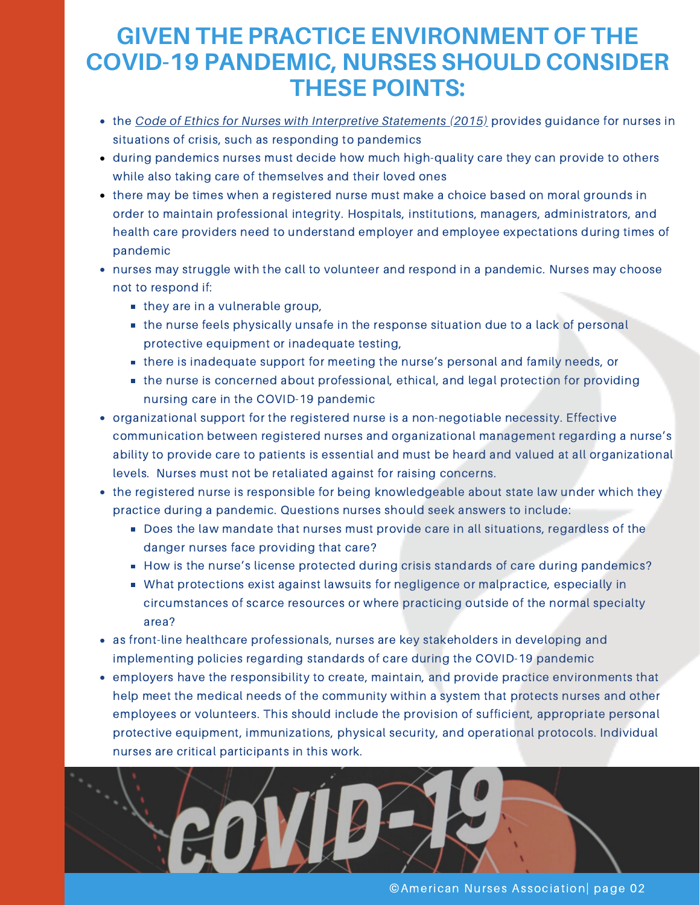## **GIVEN THE PRACTICE ENVIRONMENT OF THE COVID-19 PANDEMIC, NURSES SHOULD CONSIDER THESE POINTS:**

- the *Code of Ethics for Nurses with [Interpretive](https://www.nursingworld.org/coe-view-only) Statements (2015)* provides guidance for nurses in situations of crisis, such as responding to pandemics
- during pandemics nurses must decide how much high-quality care they can provide to others while also taking care of themselves and their loved ones
- there may be times when a registered nurse must make a choice based on moral grounds in order to maintain professional integrity. Hospitals, institutions, managers, administrators, and health care providers need to understand employer and employee expectations during times of pandemic
- nurses may struggle with the call to volunteer and respond in a pandemic. Nurses may choose not to respond if:
	- they are in a vulnerable group,
	- the nurse feels physically unsafe in the response situation due to a lack of personal protective equipment or inadequate testing,
	- there is inadequate support for meeting the nurse's personal and family needs, or
	- **the nurse is concerned about professional, ethical, and legal protection for providing** nursing care in the COVID-19 pandemic
- organizational support for the registered nurse is a non-negotiable necessity. Effective communication between registered nurses and organizational management regarding a nurse's ability to provide care to patients is essential and must be heard and valued at all organizational levels. Nurses must not be retaliated against for raising concerns.
- the registered nurse is responsible for being knowledgeable about state law under which they practice during a pandemic. Questions nurses should seek answers to include:
	- Does the law mandate that nurses must provide care in all situations, regardless of the danger nurses face providing that care?
	- How is the nurse's license protected during crisis standards of care during pandemics?
	- What protections exist against lawsuits for negligence or malpractice, especially in circumstances of scarce resources or where practicing outside of the normal specialty area?
- as front-line healthcare professionals, nurses are key stakeholders in developing and implementing policies regarding standards of care during the COVID-19 pandemic
- employers have the responsibility to create, maintain, and provide practice environments that help meet the medical needs of the community within a system that protects nurses and other employees or volunteers. This should include the provision of sufficient, appropriate personal protective equipment, immunizations, physical security, and operational protocols. Individual nurses are critical participants in this work.



©American Nurses Association| page 02